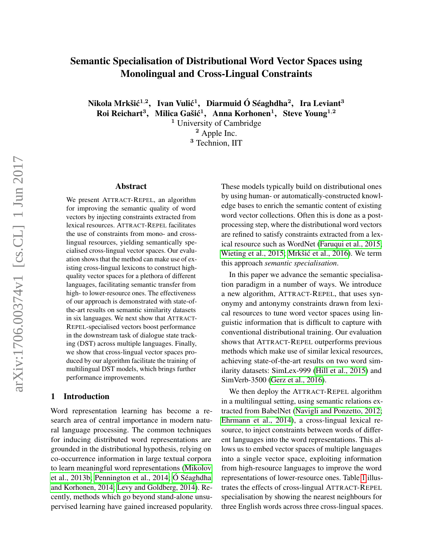# Semantic Specialisation of Distributional Word Vector Spaces using Monolingual and Cross-Lingual Constraints

Nikola Mrkšić $^{1,2}$ , Ivan Vulić $^{1}$ , Diarmuid Ó Séaghdha $^{2}$ , Ira Leviant $^{3}$ 

Roi Reichart<sup>3</sup>, Milica Gašić<sup>1</sup>, Anna Korhonen<sup>1</sup>, Steve Young<sup>1,2</sup>

<sup>1</sup> University of Cambridge <sup>2</sup> Apple Inc.

<sup>3</sup> Technion, IIT

# Abstract

We present ATTRACT-REPEL, an algorithm for improving the semantic quality of word vectors by injecting constraints extracted from lexical resources. ATTRACT-REPEL facilitates the use of constraints from mono- and crosslingual resources, yielding semantically specialised cross-lingual vector spaces. Our evaluation shows that the method can make use of existing cross-lingual lexicons to construct highquality vector spaces for a plethora of different languages, facilitating semantic transfer from high- to lower-resource ones. The effectiveness of our approach is demonstrated with state-ofthe-art results on semantic similarity datasets in six languages. We next show that ATTRACT-REPEL-specialised vectors boost performance in the downstream task of dialogue state tracking (DST) across multiple languages. Finally, we show that cross-lingual vector spaces produced by our algorithm facilitate the training of multilingual DST models, which brings further performance improvements.

# 1 Introduction

Word representation learning has become a research area of central importance in modern natural language processing. The common techniques for inducing distributed word representations are grounded in the distributional hypothesis, relying on co-occurrence information in large textual corpora to learn meaningful word representations [\(Mikolov](#page-14-0) [et al., 2013b;](#page-14-0) [Pennington et al., 2014;](#page-14-1) [Ó Séaghdha](#page-14-2) [and Korhonen, 2014;](#page-14-2) [Levy and Goldberg, 2014\)](#page-14-3). Recently, methods which go beyond stand-alone unsupervised learning have gained increased popularity. These models typically build on distributional ones by using human- or automatically-constructed knowledge bases to enrich the semantic content of existing word vector collections. Often this is done as a postprocessing step, where the distributional word vectors are refined to satisfy constraints extracted from a lexical resource such as WordNet [\(Faruqui et al., 2015;](#page-13-0) [Wieting et al., 2015;](#page-15-0) Mrkšić et al., 2016). We term this approach *semantic specialisation*.

In this paper we advance the semantic specialisation paradigm in a number of ways. We introduce a new algorithm, ATTRACT-REPEL, that uses synonymy and antonymy constraints drawn from lexical resources to tune word vector spaces using linguistic information that is difficult to capture with conventional distributional training. Our evaluation shows that ATTRACT-REPEL outperforms previous methods which make use of similar lexical resources, achieving state-of-the-art results on two word similarity datasets: SimLex-999 [\(Hill et al., 2015\)](#page-13-1) and SimVerb-3500 [\(Gerz et al., 2016\)](#page-13-2).

We then deploy the ATTRACT-REPEL algorithm in a multilingual setting, using semantic relations extracted from BabelNet [\(Navigli and Ponzetto, 2012;](#page-14-5) [Ehrmann et al., 2014\)](#page-13-3), a cross-lingual lexical resource, to inject constraints between words of different languages into the word representations. This allows us to embed vector spaces of multiple languages into a single vector space, exploiting information from high-resource languages to improve the word representations of lower-resource ones. Table [1](#page-1-0) illustrates the effects of cross-lingual ATTRACT-REPEL specialisation by showing the nearest neighbours for three English words across three cross-lingual spaces.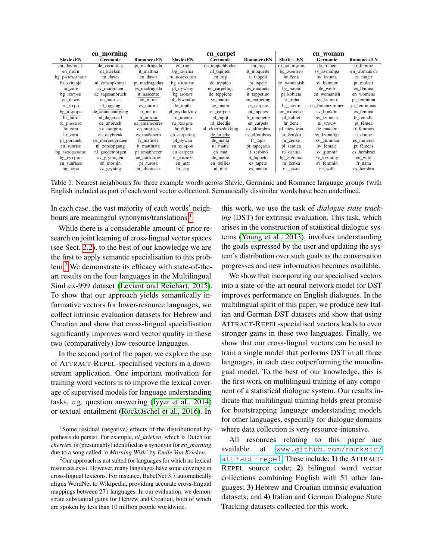|               | en morning       |               |                       | en carpet         |              |              | en woman        |                   |
|---------------|------------------|---------------|-----------------------|-------------------|--------------|--------------|-----------------|-------------------|
| Slavic+EN     | Germanic         | Romance+EN    | Slavic+EN             | <b>Germanic</b>   | Romance+EN   | Slavic + EN  | <b>Germanic</b> | <b>Romance+EN</b> |
| en_daybreak   | de vormittag     | pt madrugada  | en_rug                | de_teppichboden   | en_rug       | ru женщина   | de frauen       | fr femme          |
| en_morn       | nl_krieken       | it_mattina    | $bg$ <sub>килим</sub> | nl_tapijten       | it_moquette  | bg_жените    | sv_kvinnliga    | en_womanish       |
| bg_разсъмване | en_dawn          | en dawn       | ru_ковролин           | en_rug            | it_tappeti   | hr žena      | sv_kvinna       | es_mujer          |
| hr_svitanje   | nl zonsopkomst   | pt_madrugadas | bg килими             | de_teppich        | pt_tapete    | en womanish  | sv kvinnor      | pt_mulher         |
| hr_zore       | sv_morgonen      | es_madrugada  | pl_dywany             | en_carpeting      | es_moqueta   | bg_жена      | de weib         | es fémina         |
| $bg_{M3}$     | de_tagesanbruch  | it_nascente   | $bg\_\text{MOKET}$    | de_teppiche       | it_tappetino | pl_kobieta   | en_womanish     | en_womens         |
| en_dawn       | en sunrise       | en morn       | pl dywanów            | sv mattor         | en_carpeting | hr_treba     | sv kvinno       | pt_feminina       |
| ru_yrpo       | nl_opgang        | es_aurora     | hr_tepih              | sv_matta          | pt_carpete   | $bg$ _жени   | de_frauenzimmer | pt_femininas      |
| bg_аврора     | de sonnenaufgang | fr matin      | pl_wykładziny         | en_carpets        | pt_tapetes   | en womens    | sv honkön       | es_femina         |
| $hr\_jutro$   | nl_dageraad      | fr_aurora     | ru_ковер              | nl_tapijt         | fr_moquette  | pl_kobiet    | sv kvinnan      | fr femelle        |
| ru_paccвет    | de_anbruch       | es_amaneceres | ru_коврик             | nl kleedje        | en_carpets   | hr_žene      | nl_vrouw        | pt_fêmea          |
| hr_zora       | sv_morgon        | en_sunrises   | hr ćilim              | nl_vloerbedekking | es alfombra  | pl_niewiasta | de madam        | fr femmes         |
| hr_zoru       | en_daybreak      | es mañanero   | en_carpeting          | de_brücke         | es alfombras | hr žensko    | sv_kvinnligt    | it_donne          |
| pl poranek    | de_morgengrauen  | fr matinée    | pl dywan              | de matta          | fr_tapis     | hr ženke     | sv_gumman       | es mujeres        |
| en_sunrise    | nl_zonsopgang    | it mattinata  | ru_ковров             | nl_matta          | pt_tapeçaria | pl_samica    | sv_female       | pt_fêmeas         |
| bg_зазоряване | nl_goedemorgen   | pt_amanhecer  | en_carpets            | en mat            | it_zerbino   | ru самка     | sv_gumma        | es_hembras        |
| $bg_{CYT}$    | sv_gryningen     | en cockcrow   | ru_килим              | de_matte          | it_tappeto   | bg_женска    | sv kvinnlig     | en_wife           |
| en_sunrises   | en_mornin        | pt_aurora     | en_mat                | en_doilies        | es_tapete    | hr ženka     | sv feminin      | fr nana           |
| bg_30pa       | sv_gryning       | pt_alvorecer  | hr_sag                | nl_mat            | es manta     | ru_дама      | en_wife         | es_hembra         |

<span id="page-1-0"></span>Table 1: Nearest neighbours for three example words across Slavic, Germanic and Romance language groups (with English included as part of each word vector collection). Semantically dissimilar words have been underlined.

In each case, the vast majority of each words' neigh-bours are meaningful synonyms/translations.<sup>[1](#page-1-1)</sup>

While there is a considerable amount of prior research on joint learning of cross-lingual vector spaces (see Sect. [2.2\)](#page-3-0), to the best of our knowledge we are the first to apply semantic specialisation to this problem.[2](#page-1-2) We demonstrate its efficacy with state-of-theart results on the four languages in the Multilingual SimLex-999 dataset [\(Leviant and Reichart, 2015\)](#page-14-6). To show that our approach yields semantically informative vectors for lower-resource languages, we collect intrinsic evaluation datasets for Hebrew and Croatian and show that cross-lingual specialisation significantly improves word vector quality in these two (comparatively) low-resource languages.

In the second part of the paper, we explore the use of ATTRACT-REPEL-specialised vectors in a downstream application. One important motivation for training word vectors is to improve the lexical coverage of supervised models for language understanding tasks, e.g. question answering [\(Iyyer et al., 2014\)](#page-13-4) or textual entailment [\(Rocktäschel et al., 2016\)](#page-15-1). In this work, we use the task of *dialogue state tracking* (DST) for extrinsic evaluation. This task, which arises in the construction of statistical dialogue systems [\(Young et al., 2013\)](#page-15-2), involves understanding the goals expressed by the user and updating the system's distribution over such goals as the conversation progresses and new information becomes available.

We show that incorporating our specialised vectors into a state-of-the-art neural-network model for DST improves performance on English dialogues. In the multilingual spirit of this paper, we produce new Italian and German DST datasets and show that using ATTRACT-REPEL-specialised vectors leads to even stronger gains in these two languages. Finally, we show that our cross-lingual vectors can be used to train a single model that performs DST in all three languages, in each case outperforming the monolingual model. To the best of our knowledge, this is the first work on multilingual training of any component of a statistical dialogue system. Our results indicate that multilingual training holds great promise for bootstrapping language understanding models for other languages, especially for dialogue domains where data collection is very resource-intensive.

All resources relating to this paper are available at [www.github.com/nmrksic/](www.github.com/nmrksic/attract-repel) [attract-repel](www.github.com/nmrksic/attract-repel). These include: 1) the ATTRACT-REPEL source code; 2) bilingual word vector collections combining English with 51 other languages; 3) Hebrew and Croatian intrinsic evaluation datasets; and 4) Italian and German Dialogue State Tracking datasets collected for this work.

<span id="page-1-1"></span><sup>&</sup>lt;sup>1</sup>Some residual (negative) effects of the distributional hypothesis do persist. For example, *nl\_krieken*, which is Dutch for *cherries*, is (presumably) identified as a synonym for *en\_morning* due to a song called *'a Morning Wish'* by *Emile Van Krieken*.

<span id="page-1-2"></span><sup>&</sup>lt;sup>2</sup>Our approach is not suited for languages for which no lexical resources exist. However, many languages have some coverage in cross-lingual lexicons. For instance, BabelNet 3.7 automatically aligns WordNet to Wikipedia, providing accurate cross-lingual mappings between 271 languages. In our evaluation, we demonstrate substantial gains for Hebrew and Croatian, both of which are spoken by less than 10 million people worldwide.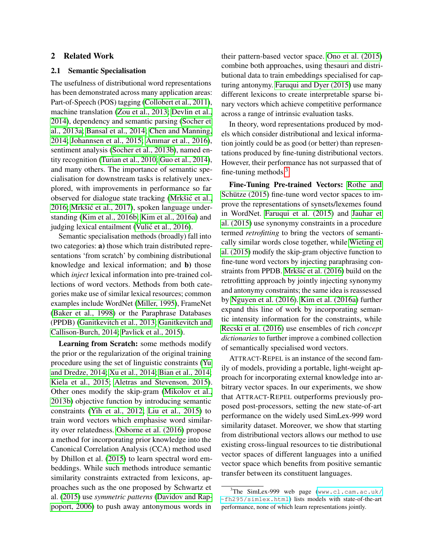### 2 Related Work

## 2.1 Semantic Specialisation

The usefulness of distributional word representations has been demonstrated across many application areas: Part-of-Speech (POS) tagging [\(Collobert et al., 2011\)](#page-12-0), machine translation [\(Zou et al., 2013;](#page-15-3) [Devlin et al.,](#page-13-5) [2014\)](#page-13-5), dependency and semantic parsing [\(Socher et](#page-15-4) [al., 2013a;](#page-15-4) [Bansal et al., 2014;](#page-12-1) [Chen and Manning,](#page-12-2) [2014;](#page-12-2) [Johannsen et al., 2015;](#page-14-7) [Ammar et al., 2016\)](#page-12-3), sentiment analysis [\(Socher et al., 2013b\)](#page-15-5), named entity recognition [\(Turian et al., 2010;](#page-15-6) [Guo et al., 2014\)](#page-13-6), and many others. The importance of semantic specialisation for downstream tasks is relatively unexplored, with improvements in performance so far observed for dialogue state tracking (Mrkšić et al., [2016;](#page-14-4) Mrkšić et al., 2017), spoken language understanding [\(Kim et al., 2016b;](#page-14-9) [Kim et al., 2016a\)](#page-14-10) and judging lexical entailment (Vulić et al., 2016).

Semantic specialisation methods (broadly) fall into two categories: a) those which train distributed representations 'from scratch' by combining distributional knowledge and lexical information; and b) those which *inject* lexical information into pre-trained collections of word vectors. Methods from both categories make use of similar lexical resources; common examples include WordNet [\(Miller, 1995\)](#page-14-11), FrameNet [\(Baker et al., 1998\)](#page-12-4) or the Paraphrase Databases (PPDB) [\(Ganitkevitch et al., 2013;](#page-13-7) [Ganitkevitch and](#page-13-8) [Callison-Burch, 2014;](#page-13-8) [Pavlick et al., 2015\)](#page-14-12).

Learning from Scratch: some methods modify the prior or the regularization of the original training procedure using the set of linguistic constraints [\(Yu](#page-15-8) [and Dredze, 2014;](#page-15-8) [Xu et al., 2014;](#page-15-9) [Bian et al., 2014;](#page-12-5) [Kiela et al., 2015;](#page-14-13) [Aletras and Stevenson, 2015\)](#page-12-6). Other ones modify the skip-gram [\(Mikolov et al.,](#page-14-0) [2013b\)](#page-14-0) objective function by introducing semantic constraints [\(Yih et al., 2012;](#page-15-10) [Liu et al., 2015\)](#page-14-14) to train word vectors which emphasise word similarity over relatedness. [Osborne et al. \(2016\)](#page-14-15) propose a method for incorporating prior knowledge into the Canonical Correlation Analysis (CCA) method used by Dhillon et al. [\(2015\)](#page-13-9) to learn spectral word embeddings. While such methods introduce semantic similarity constraints extracted from lexicons, approaches such as the one proposed by Schwartz et al. [\(2015\)](#page-15-11) use *symmetric patterns* [\(Davidov and Rap](#page-12-7)[poport, 2006\)](#page-12-7) to push away antonymous words in

their pattern-based vector space. [Ono et al. \(2015\)](#page-14-16) combine both approaches, using thesauri and distributional data to train embeddings specialised for capturing antonymy. [Faruqui and Dyer \(2015\)](#page-13-10) use many different lexicons to create interpretable sparse binary vectors which achieve competitive performance across a range of intrinsic evaluation tasks.

In theory, word representations produced by models which consider distributional and lexical information jointly could be as good (or better) than representations produced by fine-tuning distributional vectors. However, their performance has not surpassed that of fine-tuning methods. $3$ 

Fine-Tuning Pre-trained Vectors: [Rothe and](#page-15-12) [Schütze \(2015\)](#page-15-12) fine-tune word vector spaces to improve the representations of synsets/lexemes found in WordNet. [Faruqui et al. \(2015\)](#page-13-0) and [Jauhar et](#page-13-11) [al. \(2015\)](#page-13-11) use synonymy constraints in a procedure termed *retrofitting* to bring the vectors of semantically similar words close together, while [Wieting et](#page-15-0) [al. \(2015\)](#page-15-0) modify the skip-gram objective function to fine-tune word vectors by injecting paraphrasing constraints from PPDB. Mrkšić et al. (2016) build on the retrofitting approach by jointly injecting synonymy and antonymy constraints; the same idea is reassessed by [Nguyen et al. \(2016\)](#page-14-17). [Kim et al. \(2016a\)](#page-14-10) further expand this line of work by incorporating semantic intensity information for the constraints, while [Recski et al. \(2016\)](#page-14-18) use ensembles of rich *concept dictionaries* to further improve a combined collection of semantically specialised word vectors.

ATTRACT-REPEL is an instance of the second family of models, providing a portable, light-weight approach for incorporating external knowledge into arbitrary vector spaces. In our experiments, we show that ATTRACT-REPEL outperforms previously proposed post-processors, setting the new state-of-art performance on the widely used SimLex-999 word similarity dataset. Moreover, we show that starting from distributional vectors allows our method to use existing cross-lingual resources to tie distributional vector spaces of different languages into a unified vector space which benefits from positive semantic transfer between its constituent languages.

<span id="page-2-0"></span> $3$ The SimLex-999 web page ([www.cl.cam.ac.uk/](www.cl.cam.ac.uk/~fh295/simlex.html) [~fh295/simlex.html](www.cl.cam.ac.uk/~fh295/simlex.html)) lists models with state-of-the-art performance, none of which learn representations jointly.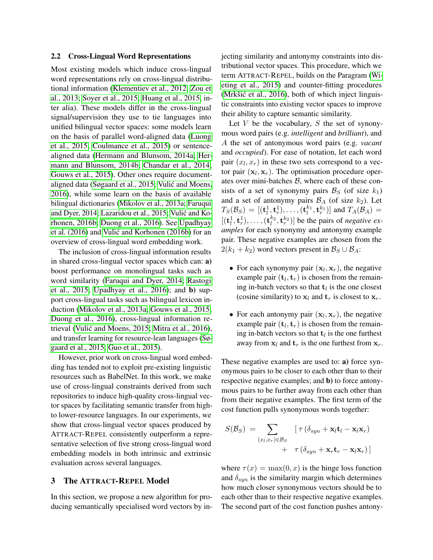#### <span id="page-3-0"></span>2.2 Cross-Lingual Word Representations

Most existing models which induce cross-lingual word representations rely on cross-lingual distributional information [\(Klementiev et al., 2012;](#page-14-19) [Zou et](#page-15-3) [al., 2013;](#page-15-3) [Soyer et al., 2015;](#page-15-13) [Huang et al., 2015,](#page-13-12) inter alia). These models differ in the cross-lingual signal/supervision they use to tie languages into unified bilingual vector spaces: some models learn on the basis of parallel word-aligned data [\(Luong](#page-14-20) [et al., 2015;](#page-14-20) [Coulmance et al., 2015\)](#page-12-8) or sentencealigned data [\(Hermann and Blunsom, 2014a;](#page-13-13) [Her](#page-13-14)[mann and Blunsom, 2014b;](#page-13-14) [Chandar et al., 2014;](#page-12-9) [Gouws et al., 2015\)](#page-13-15). Other ones require documentaligned data [\(Søgaard et al., 2015;](#page-15-14) [Vulic and Moens,](#page-15-15) ´ [2016\)](#page-15-15), while some learn on the basis of available bilingual dictionaries [\(Mikolov et al., 2013a;](#page-14-21) [Faruqui](#page-13-16) [and Dyer, 2014;](#page-13-16) [Lazaridou et al., 2015;](#page-14-22) [Vulic and Ko-](#page-15-16) ´ [rhonen, 2016b;](#page-15-16) [Duong et al., 2016\)](#page-13-17). See [Upadhyay](#page-15-17) [et al. \(2016\)](#page-15-17) and Vulić and Korhonen (2016b) for an overview of cross-lingual word embedding work.

The inclusion of cross-lingual information results in shared cross-lingual vector spaces which can: a) boost performance on monolingual tasks such as word similarity [\(Faruqui and Dyer, 2014;](#page-13-16) [Rastogi](#page-14-23) [et al., 2015;](#page-14-23) [Upadhyay et al., 2016\)](#page-15-17); and b) support cross-lingual tasks such as bilingual lexicon induction [\(Mikolov et al., 2013a;](#page-14-21) [Gouws et al., 2015;](#page-13-15) [Duong et al., 2016\)](#page-13-17), cross-lingual information re-trieval (Vulić and Moens, 2015; [Mitra et al., 2016\)](#page-14-24), and transfer learning for resource-lean languages [\(Sø](#page-15-14)[gaard et al., 2015;](#page-15-14) [Guo et al., 2015\)](#page-13-18).

However, prior work on cross-lingual word embedding has tended not to exploit pre-existing linguistic resources such as BabelNet. In this work, we make use of cross-lingual constraints derived from such repositories to induce high-quality cross-lingual vector spaces by facilitating semantic transfer from highto lower-resource languages. In our experiments, we show that cross-lingual vector spaces produced by ATTRACT-REPEL consistently outperform a representative selection of five strong cross-lingual word embedding models in both intrinsic and extrinsic evaluation across several languages.

# 3 The ATTRACT-REPEL Model

In this section, we propose a new algorithm for producing semantically specialised word vectors by injecting similarity and antonymy constraints into distributional vector spaces. This procedure, which we term ATTRACT-REPEL, builds on the Paragram [\(Wi](#page-15-0)[eting et al., 2015\)](#page-15-0) and counter-fitting procedures  $(Mrk\ddot{\theta})$  et al., 2016), both of which inject linguistic constraints into existing vector spaces to improve their ability to capture semantic similarity.

Let  $V$  be the vocabulary,  $S$  the set of synonymous word pairs (e.g. *intelligent* and *brilliant*), and A the set of antonymous word pairs (e.g. *vacant* and *occupied*). For ease of notation, let each word pair  $(x_l, x_r)$  in these two sets correspond to a vector pair  $(x_l, x_r)$ . The optimisation procedure operates over mini-batches  $\beta$ , where each of these consists of a set of synonymy pairs  $\mathcal{B}_S$  (of size  $k_1$ ) and a set of antonymy pairs  $\mathcal{B}_A$  (of size  $k_2$ ). Let  $T_S(\mathcal{B}_S) = [(\mathbf{t}_l^1, \mathbf{t}_r^1), \dots, (\mathbf{t}_l^{k_1}, \mathbf{t}_r^{k_1})]$  and  $T_A(\mathcal{B}_A) =$  $[(t_l^1, t_r^1), \ldots, (t_l^{k_2}, t_r^{k_2})]$  be the pairs of *negative examples* for each synonymy and antonymy example pair. These negative examples are chosen from the  $2(k_1 + k_2)$  word vectors present in  $\mathcal{B}_S \cup \mathcal{B}_A$ :

- For each synonymy pair  $(x_l, x_r)$ , the negative example pair  $(\mathbf{t}_l, \mathbf{t}_r)$  is chosen from the remaining in-batch vectors so that  $t_l$  is the one closest (cosine similarity) to  $x_l$  and  $t_r$  is closest to  $x_r$ .
- For each antonymy pair  $(\mathbf{x}_l, \mathbf{x}_r)$ , the negative example pair  $(\mathbf{t}_l, \mathbf{t}_r)$  is chosen from the remaining in-batch vectors so that  $t_l$  is the one furthest away from  $x_l$  and  $t_r$  is the one furthest from  $x_r$ .

These negative examples are used to: a) force synonymous pairs to be closer to each other than to their respective negative examples; and b) to force antonymous pairs to be further away from each other than from their negative examples. The first term of the cost function pulls synonymous words together:

$$
S(\mathcal{B}_{S}) = \sum_{(x_{l},x_{r}) \in \mathcal{B}_{S}} \left[ \tau (\delta_{syn} + \mathbf{x}_{l} \mathbf{t}_{l} - \mathbf{x}_{l} \mathbf{x}_{r}) + \tau (\delta_{syn} + \mathbf{x}_{r} \mathbf{t}_{r} - \mathbf{x}_{l} \mathbf{x}_{r}) \right]
$$

where  $\tau(x) = \max(0, x)$  is the hinge loss function and  $\delta_{syn}$  is the similarity margin which determines how much closer synonymous vectors should be to each other than to their respective negative examples. The second part of the cost function pushes antony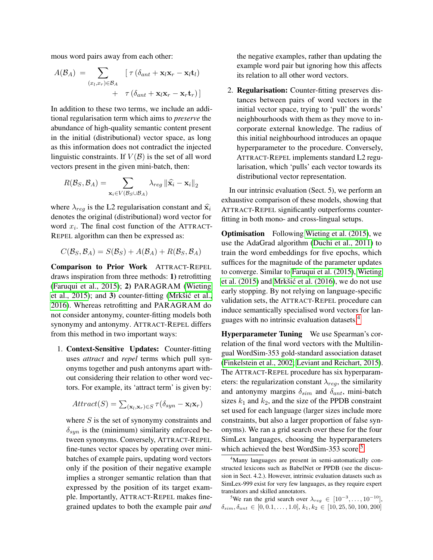mous word pairs away from each other:

$$
A(\mathcal{B}_A) = \sum_{(x_l, x_r) \in \mathcal{B}_A} \left[ \tau (\delta_{ant} + \mathbf{x}_l \mathbf{x}_r - \mathbf{x}_l \mathbf{t}_l) + \tau (\delta_{ant} + \mathbf{x}_l \mathbf{x}_r - \mathbf{x}_r \mathbf{t}_r) \right]
$$

In addition to these two terms, we include an additional regularisation term which aims to *preserve* the abundance of high-quality semantic content present in the initial (distributional) vector space, as long as this information does not contradict the injected linguistic constraints. If  $V(\mathcal{B})$  is the set of all word vectors present in the given mini-batch, then:

$$
R(\mathcal{B}_{S}, \mathcal{B}_{A}) = \sum_{\mathbf{x}_{i} \in V(\mathcal{B}_{S} \cup \mathcal{B}_{A})} \lambda_{reg} ||\widehat{\mathbf{x}}_{i} - \mathbf{x}_{i}||_{2}
$$

where  $\lambda_{req}$  is the L2 regularisation constant and  $\hat{x_i}$ denotes the original (distributional) word vector for word  $x_i$ . The final cost function of the ATTRACT-REPEL algorithm can then be expressed as:

$$
C(\mathcal{B}_S, \mathcal{B}_A) = S(\mathcal{B}_S) + A(\mathcal{B}_A) + R(\mathcal{B}_S, \mathcal{B}_A)
$$

Comparison to Prior Work ATTRACT-REPEL draws inspiration from three methods: 1) retrofitting [\(Faruqui et al., 2015\)](#page-13-0); 2) PARAGRAM [\(Wieting](#page-15-0) [et al., 2015\)](#page-15-0); and 3) counter-fitting (Mrkšić et al., [2016\)](#page-14-4). Whereas retrofitting and PARAGRAM do not consider antonymy, counter-fitting models both synonymy and antonymy. ATTRACT-REPEL differs from this method in two important ways:

1. Context-Sensitive Updates: Counter-fitting uses *attract* and *repel* terms which pull synonyms together and push antonyms apart without considering their relation to other word vectors. For example, its 'attract term' is given by:

$$
Attract(S) = \sum_{(\mathbf{x}_l, \mathbf{x}_r) \in S} \tau(\delta_{syn} - \mathbf{x}_l \mathbf{x}_r)
$$

where  $S$  is the set of synonymy constraints and  $\delta_{syn}$  is the (minimum) similarity enforced between synonyms. Conversely, ATTRACT-REPEL fine-tunes vector spaces by operating over minibatches of example pairs, updating word vectors only if the position of their negative example implies a stronger semantic relation than that expressed by the position of its target example. Importantly, ATTRACT-REPEL makes finegrained updates to both the example pair *and* the negative examples, rather than updating the example word pair but ignoring how this affects its relation to all other word vectors.

2. Regularisation: Counter-fitting preserves distances between pairs of word vectors in the initial vector space, trying to 'pull' the words' neighbourhoods with them as they move to incorporate external knowledge. The radius of this initial neighbourhood introduces an opaque hyperparameter to the procedure. Conversely, ATTRACT-REPEL implements standard L2 regularisation, which 'pulls' each vector towards its distributional vector representation.

In our intrinsic evaluation (Sect. 5), we perform an exhaustive comparison of these models, showing that ATTRACT-REPEL significantly outperforms counterfitting in both mono- and cross-lingual setups.

**Optimisation** Following [Wieting et al. \(2015\)](#page-15-0), we use the AdaGrad algorithm [\(Duchi et al., 2011\)](#page-13-19) to train the word embeddings for five epochs, which suffices for the magnitude of the parameter updates to converge. Similar to [Faruqui et al. \(2015\)](#page-13-0), [Wieting](#page-15-0) et al.  $(2015)$  and Mrkšić et al.  $(2016)$ , we do not use early stopping. By not relying on language-specific validation sets, the ATTRACT-REPEL procedure can induce semantically specialised word vectors for languages with no intrinsic evaluation datasets.[4](#page-4-0)

Hyperparameter Tuning We use Spearman's correlation of the final word vectors with the Multilingual WordSim-353 gold-standard association dataset [\(Finkelstein et al., 2002;](#page-13-20) [Leviant and Reichart, 2015\)](#page-14-6). The ATTRACT-REPEL procedure has six hyperparameters: the regularization constant  $\lambda_{rea}$ , the similarity and antonymy margins  $\delta_{sim}$  and  $\delta_{ant}$ , mini-batch sizes  $k_1$  and  $k_2$ , and the size of the PPDB constraint set used for each language (larger sizes include more constraints, but also a larger proportion of false synonyms). We ran a grid search over these for the four SimLex languages, choosing the hyperparameters which achieved the best WordSim-3[5](#page-4-1)3 score.<sup>5</sup>

<span id="page-4-1"></span><sup>5</sup>We ran the grid search over  $\lambda_{reg} \in [10^{-3}, \ldots, 10^{-10}]$ ,  $\delta_{sim}, \delta_{ant} \in [0, 0.1, \ldots, 1.0], k_1, k_2 \in [10, 25, 50, 100, 200]$ 

<span id="page-4-0"></span><sup>&</sup>lt;sup>4</sup>Many languages are present in semi-automatically constructed lexicons such as BabelNet or PPDB (see the discussion in Sect. 4.2.). However, intrinsic evaluation datasets such as SimLex-999 exist for very few languages, as they require expert translators and skilled annotators.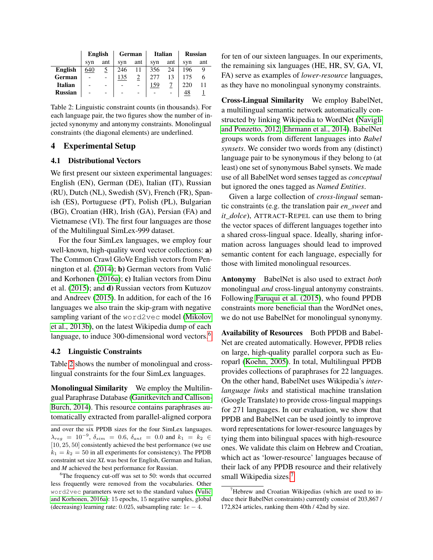|                | English                  |          | German |     | <b>Italian</b> |     | <b>Russian</b> |     |  |
|----------------|--------------------------|----------|--------|-----|----------------|-----|----------------|-----|--|
|                | svn                      | ant      | syn    | ant | syn            | ant | svn            | ant |  |
| <b>English</b> | 640                      | <u>خ</u> | 246    |     | 356            | 24  | 196            | 9   |  |
| German         |                          |          | 135    |     |                |     |                | 6   |  |
| <b>Italian</b> | $\overline{\phantom{0}}$ |          |        |     | 159            |     | 220            |     |  |
| <b>Russian</b> | $\overline{\phantom{0}}$ |          |        |     |                |     | 48             |     |  |

<span id="page-5-1"></span>Table 2: Linguistic constraint counts (in thousands). For each language pair, the two figures show the number of injected synonymy and antonymy constraints. Monolingual constraints (the diagonal elements) are underlined.

# 4 Experimental Setup

#### 4.1 Distributional Vectors

We first present our sixteen experimental languages: English (EN), German (DE), Italian (IT), Russian (RU), Dutch (NL), Swedish (SV), French (FR), Spanish (ES), Portuguese (PT), Polish (PL), Bulgarian (BG), Croatian (HR), Irish (GA), Persian (FA) and Vietnamese (VI). The first four languages are those of the Multilingual SimLex-999 dataset.

For the four SimLex languages, we employ four well-known, high-quality word vector collections: a) The Common Crawl GloVe English vectors from Pen-nington et al. [\(2014\)](#page-14-1); **b**) German vectors from Vulić and Korhonen [\(2016a\)](#page-15-19); c) Italian vectors from Dinu et al. [\(2015\)](#page-13-21); and d) Russian vectors from Kutuzov and Andreev [\(2015\)](#page-14-25). In addition, for each of the 16 languages we also train the skip-gram with negative sampling variant of the word2vec model [\(Mikolov](#page-14-0) [et al., 2013b\)](#page-14-0), on the latest Wikipedia dump of each language, to induce 300-dimensional word vectors.<sup>[6](#page-5-0)</sup>

# 4.2 Linguistic Constraints

Table [2](#page-5-1) shows the number of monolingual and crosslingual constraints for the four SimLex languages.

Monolingual Similarity We employ the Multilingual Paraphrase Database [\(Ganitkevitch and Callison-](#page-13-8)[Burch, 2014\)](#page-13-8). This resource contains paraphrases automatically extracted from parallel-aligned corpora

and over the six PPDB sizes for the four SimLex languages.  $\lambda_{reg}$  = 10<sup>-9</sup>,  $\delta_{sim}$  = 0.6,  $\delta_{ant}$  = 0.0 and  $k_1$  =  $k_2$  ∈ [10, 25, 50] consistently achieved the best performance (we use  $k_1 = k_2 = 50$  in all experiments for consistency). The PPDB constraint set size *XL* was best for English, German and Italian, and *M* achieved the best performance for Russian.

for ten of our sixteen languages. In our experiments, the remaining six languages (HE, HR, SV, GA, VI, FA) serve as examples of *lower-resource* languages, as they have no monolingual synonymy constraints.

Cross-Lingual Similarity We employ BabelNet, a multilingual semantic network automatically constructed by linking Wikipedia to WordNet [\(Navigli](#page-14-5) [and Ponzetto, 2012;](#page-14-5) [Ehrmann et al., 2014\)](#page-13-3). BabelNet groups words from different languages into *Babel synsets*. We consider two words from any (distinct) language pair to be synonymous if they belong to (at least) one set of synonymous Babel synsets. We made use of all BabelNet word senses tagged as *conceptual* but ignored the ones tagged as *Named Entities*.

Given a large collection of *cross-lingual* semantic constraints (e.g. the translation pair *en\_sweet* and *it\_dolce*), ATTRACT-REPEL can use them to bring the vector spaces of different languages together into a shared cross-lingual space. Ideally, sharing information across languages should lead to improved semantic content for each language, especially for those with limited monolingual resources.

Antonymy BabelNet is also used to extract *both* monolingual *and* cross-lingual antonymy constraints. Following [Faruqui et al. \(2015\)](#page-13-0), who found PPDB constraints more beneficial than the WordNet ones, we do not use BabelNet for monolingual synonymy.

Availability of Resources Both PPDB and Babel-Net are created automatically. However, PPDB relies on large, high-quality parallel corpora such as Europarl [\(Koehn, 2005\)](#page-14-26). In total, Multilingual PPDB provides collections of paraphrases for 22 languages. On the other hand, BabelNet uses Wikipedia's *interlanguage links* and statistical machine translation (Google Translate) to provide cross-lingual mappings for 271 languages. In our evaluation, we show that PPDB and BabelNet can be used jointly to improve word representations for lower-resource languages by tying them into bilingual spaces with high-resource ones. We validate this claim on Hebrew and Croatian, which act as 'lower-resource' languages because of their lack of any PPDB resource and their relatively small Wikipedia sizes.<sup>[7](#page-5-2)</sup>

<span id="page-5-0"></span><sup>&</sup>lt;sup>6</sup>The frequency cut-off was set to 50: words that occurred less frequently were removed from the vocabularies. Other word2vec parameters were set to the standard values [\(Vulic´](#page-15-19) [and Korhonen, 2016a\)](#page-15-19): 15 epochs, 15 negative samples, global (decreasing) learning rate: 0.025, subsampling rate:  $1e - 4$ .

<span id="page-5-2"></span> $7$ Hebrew and Croatian Wikipedias (which are used to induce their BabelNet constraints) currently consist of 203,867 / 172,824 articles, ranking them 40th / 42nd by size.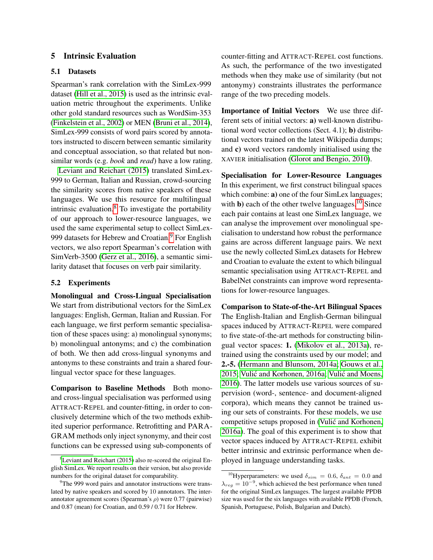# 5 Intrinsic Evaluation

#### 5.1 Datasets

Spearman's rank correlation with the SimLex-999 dataset [\(Hill et al., 2015\)](#page-13-1) is used as the intrinsic evaluation metric throughout the experiments. Unlike other gold standard resources such as WordSim-353 [\(Finkelstein et al., 2002\)](#page-13-20) or MEN [\(Bruni et al., 2014\)](#page-12-10), SimLex-999 consists of word pairs scored by annotators instructed to discern between semantic similarity and conceptual association, so that related but nonsimilar words (e.g. *book* and *read*) have a low rating.

[Leviant and Reichart \(2015\)](#page-14-6) translated SimLex-999 to German, Italian and Russian, crowd-sourcing the similarity scores from native speakers of these languages. We use this resource for multilingual intrinsic evaluation. $8$  To investigate the portability of our approach to lower-resource languages, we used the same experimental setup to collect SimLex-[9](#page-6-1)99 datasets for Hebrew and Croatian.<sup>9</sup> For English vectors, we also report Spearman's correlation with SimVerb-3500 [\(Gerz et al., 2016\)](#page-13-2), a semantic similarity dataset that focuses on verb pair similarity.

#### 5.2 Experiments

Monolingual and Cross-Lingual Specialisation We start from distributional vectors for the SimLex languages: English, German, Italian and Russian. For each language, we first perform semantic specialisation of these spaces using: a) monolingual synonyms; b) monolingual antonyms; and c) the combination of both. We then add cross-lingual synonyms and antonyms to these constraints and train a shared fourlingual vector space for these languages.

Comparison to Baseline Methods Both monoand cross-lingual specialisation was performed using ATTRACT-REPEL and counter-fitting, in order to conclusively determine which of the two methods exhibited superior performance. Retrofitting and PARA-GRAM methods only inject synonymy, and their cost functions can be expressed using sub-components of

counter-fitting and ATTRACT-REPEL cost functions. As such, the performance of the two investigated methods when they make use of similarity (but not antonymy) constraints illustrates the performance range of the two preceding models.

Importance of Initial Vectors We use three different sets of initial vectors: a) well-known distributional word vector collections (Sect. 4.1); b) distributional vectors trained on the latest Wikipedia dumps; and c) word vectors randomly initialised using the XAVIER initialisation [\(Glorot and Bengio, 2010\)](#page-13-22).

Specialisation for Lower-Resource Languages In this experiment, we first construct bilingual spaces which combine: a) one of the four SimLex languages; with **b**) each of the other twelve languages.<sup>[10](#page-6-2)</sup> Since each pair contains at least one SimLex language, we can analyse the improvement over monolingual specialisation to understand how robust the performance gains are across different language pairs. We next use the newly collected SimLex datasets for Hebrew and Croatian to evaluate the extent to which bilingual semantic specialisation using ATTRACT-REPEL and BabelNet constraints can improve word representations for lower-resource languages.

Comparison to State-of-the-Art Bilingual Spaces The English-Italian and English-German bilingual spaces induced by ATTRACT-REPEL were compared to five state-of-the-art methods for constructing bilingual vector spaces: 1. [\(Mikolov et al., 2013a\)](#page-14-21), retrained using the constraints used by our model; and 2.-5. [\(Hermann and Blunsom, 2014a;](#page-13-13) [Gouws et al.,](#page-13-15) [2015;](#page-13-15) Vulić and Korhonen, 2016a; Vulić and Moens, [2016\)](#page-15-15). The latter models use various sources of supervision (word-, sentence- and document-aligned corpora), which means they cannot be trained using our sets of constraints. For these models, we use competitive setups proposed in [\(Vulic and Korhonen,](#page-15-19) ´ [2016a\)](#page-15-19). The goal of this experiment is to show that vector spaces induced by ATTRACT-REPEL exhibit better intrinsic and extrinsic performance when deployed in language understanding tasks.

<span id="page-6-0"></span> ${}^{8}$ [Leviant and Reichart \(2015\)](#page-14-6) also re-scored the original English SimLex. We report results on their version, but also provide numbers for the original dataset for comparability.

<span id="page-6-1"></span><sup>&</sup>lt;sup>9</sup>The 999 word pairs and annotator instructions were translated by native speakers and scored by 10 annotators. The interannotator agreement scores (Spearman's  $\rho$ ) were 0.77 (pairwise) and 0.87 (mean) for Croatian, and 0.59 / 0.71 for Hebrew.

<span id="page-6-2"></span><sup>&</sup>lt;sup>10</sup>Hyperparameters: we used  $\delta_{sim}$  = 0.6,  $\delta_{ant}$  = 0.0 and  $\lambda_{reg} = 10^{-9}$ , which achieved the best performance when tuned for the original SimLex languages. The largest available PPDB size was used for the six languages with available PPDB (French, Spanish, Portuguese, Polish, Bulgarian and Dutch).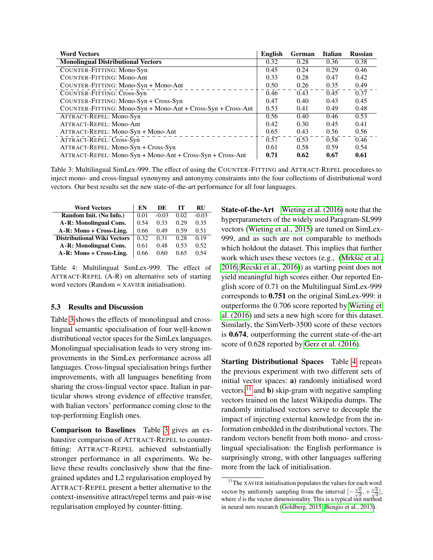| <b>Word Vectors</b>                                            | <b>English</b> | German | <b>Italian</b> | <b>Russian</b> |
|----------------------------------------------------------------|----------------|--------|----------------|----------------|
| <b>Monolingual Distributional Vectors</b>                      | 0.32           | 0.28   | 0.36           | 0.38           |
| COUNTER-FITTING: Mono-Syn                                      | 0.45           | 0.24   | 0.29           | 0.46           |
| <b>COUNTER-FITTING: Mono-Ant</b>                               | 0.33           | 0.28   | 0.47           | 0.42           |
| COUNTER-FITTING: Mono-Syn + Mono-Ant                           | 0.50           | 0.26   | 0.35           | 0.49           |
| COUNTER-FITTING: Cross-Syn                                     | 0.46           | 0.43   | 0.45           | 0.37           |
| COUNTER-FITTING: Mono-Syn + Cross-Syn                          | 0.47           | 0.40   | 0.43           | 0.45           |
| $COUNTER-FITTING: Mono-Syn + Mono-Ant + Cross-Syn + Cross-Ant$ | 0.53           | 0.41   | 0.49           | 0.48           |
| ATTRACT-REPEL: Mono-Syn                                        | 0.56           | 0.40   | 0.46           | 0.53           |
| ATTRACT-REPEL: Mono-Ant                                        | 0.42           | 0.30   | 0.45           | 0.41           |
| ATTRACT-REPEL: Mono-Syn + Mono-Ant                             | 0.65           | 0.43   | 0.56           | 0.56           |
| ATTRACT-REPEL: Cross-Syn                                       | 0.57           | 0.53   | 0.58           | 0.46           |
| ATTRACT-REPEL: Mono-Syn + Cross-Syn                            | 0.61           | 0.58   | 0.59           | 0.54           |
| ATTRACT-REPEL: Mono-Syn + Mono-Ant + Cross-Syn + Cross-Ant     | 0.71           | 0.62   | 0.67           | 0.61           |

<span id="page-7-0"></span>Table 3: Multilingual SimLex-999. The effect of using the COUNTER-FITTING and ATTRACT-REPEL procedures to inject mono- and cross-lingual synonymy and antonymy constraints into the four collections of distributional word vectors. Our best results set the new state-of-the-art performance for all four languages.

| <b>Word Vectors</b>                | EN   | DE.     | тг   | <b>RU</b> |
|------------------------------------|------|---------|------|-----------|
| Random Init. (No Info.)            | 0.01 | $-0.03$ | 0.02 | $-0.03$   |
| A-R: Monolingual Cons.             | 0.54 | 0.33    | 0.29 | 0.35      |
| A-R: Mono + Cross-Ling.            | 0.66 | 0.49    | 0.59 | 0.51      |
| <b>Distributional Wiki Vectors</b> | 0.32 | 0.31    | 0.28 | 0.19      |
| A-R: Monolingual Cons.             | 0.61 | 0.48    | 0.53 | 0.52      |
| A-R: Mono + Cross-Ling.            | 0.66 | 0.60    | 0.65 | 0.54      |

<span id="page-7-1"></span>Table 4: Multilingual SimLex-999. The effect of ATTRACT-REPEL (A-R) on alternative sets of starting word vectors (Random = XAVIER initialisation).

# 5.3 Results and Discussion

Table [3](#page-7-0) shows the effects of monolingual and crosslingual semantic specialisation of four well-known distributional vector spaces for the SimLex languages. Monolingual specialisation leads to very strong improvements in the SimLex performance across all languages. Cross-lingual specialisation brings further improvements, with all languages benefiting from sharing the cross-lingual vector space. Italian in particular shows strong evidence of effective transfer, with Italian vectors' performance coming close to the top-performing English ones.

Comparison to Baselines Table [3](#page-7-0) gives an exhaustive comparison of ATTRACT-REPEL to counterfitting: ATTRACT-REPEL achieved substantially stronger performance in all experiments. We believe these results conclusively show that the finegrained updates and L2 regularisation employed by ATTRACT-REPEL present a better alternative to the context-insensitive attract/repel terms and pair-wise regularisation employed by counter-fitting.

State-of-the-Art [Wieting et al. \(2016\)](#page-15-20) note that the hyperparameters of the widely used Paragram-SL999 vectors [\(Wieting et al., 2015\)](#page-15-0) are tuned on SimLex-999, and as such are not comparable to methods which holdout the dataset. This implies that further work which uses these vectors (e.g., (Mrkšić et al., [2016;](#page-14-4) [Recski et al., 2016\)](#page-14-18)) as starting point does not yield meaningful high scores either. Our reported English score of 0.71 on the Multilingual SimLex-999 corresponds to 0.751 on the original SimLex-999: it outperforms the 0.706 score reported by [Wieting et](#page-15-20) [al. \(2016\)](#page-15-20) and sets a new high score for this dataset. Similarly, the SimVerb-3500 score of these vectors is 0.674, outperforming the current state-of-the-art score of 0.628 reported by [Gerz et al. \(2016\)](#page-13-2).

Starting Distributional Spaces Table [4](#page-7-1) repeats the previous experiment with two different sets of initial vector spaces: a) randomly initialised word vectors;<sup>[11](#page-7-2)</sup> and **b**) skip-gram with negative sampling vectors trained on the latest Wikipedia dumps. The randomly initialised vectors serve to decouple the impact of injecting external knowledge from the information embedded in the distributional vectors. The random vectors benefit from both mono- and crosslingual specialisation: the English performance is surprisingly strong, with other languages suffering more from the lack of initialisation.

<span id="page-7-2"></span><sup>&</sup>lt;sup>11</sup>The XAVIER initialisation populates the values for each word vector by uniformly sampling from the interval  $\left[-\frac{\sqrt{6}}{\sqrt{d}},+\frac{\sqrt{6}}{\sqrt{d}}\right]$ , where d is the vector dimensionality. This is a typical init method in neural nets research [\(Goldberg, 2015;](#page-13-23) [Bengio et al., 2013\)](#page-12-11).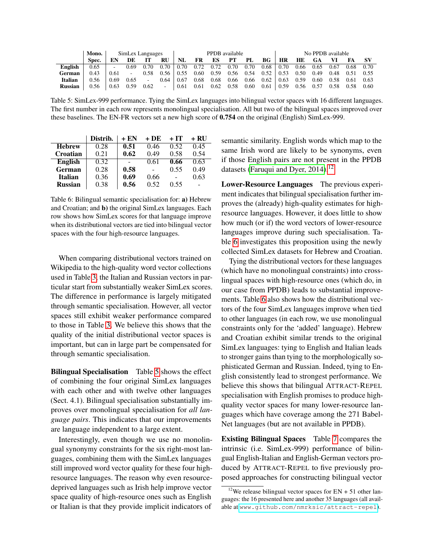|                | Mono. | SimLex Languages |      |      |           | PPDB available |      |      |      |      | No PPDB available |           |      |      |      |      |      |
|----------------|-------|------------------|------|------|-----------|----------------|------|------|------|------|-------------------|-----------|------|------|------|------|------|
|                | Spec. |                  | DE   |      | <b>RU</b> | NL             | FR   | ES   | PТ   | PL   | BG                | <b>HR</b> | HE   | GA   |      | FA   | -SV  |
| <b>English</b> | 0.65  | $\sim$           | 0.69 | 0.70 | 0.70      | 0.70           | 0.72 | 0.72 | 0.70 | 0.70 | 0.68              | 0.70      | 0.66 | 0.65 | 0.67 | 0.68 | 0.70 |
| German         | 0.43  | 0.61             |      | 0.58 | 0.56      | 0.55           | 0.60 | 0.59 | 0.56 | 0.54 | 0.52              | 0.53      | 0.50 | 0.49 | 0.48 | 0.51 | 0.55 |
| <b>Italian</b> | 0.56  | 0.69             | 0.65 | ۰    | 0.64      | 0.67           | 0.68 | 0.68 | 0.66 | 0.66 | 0.62              | 0.63      | 0.59 | 0.60 | 0.58 | 0.61 | 0.63 |
| <b>Russian</b> | 0.56  | 0.63             | 0.59 | 0.62 | ۰.        | 0.61           | 0.61 | 0.62 | 0.58 | 0.60 | 0.61              | 0.59      | 0.56 | 0.57 | 0.58 |      | 0.60 |

<span id="page-8-0"></span>Table 5: SimLex-999 performance. Tying the SimLex languages into bilingual vector spaces with 16 different languages. The first number in each row represents monolingual specialisation. All but two of the bilingual spaces improved over these baselines. The EN-FR vectors set a new high score of 0.754 on the original (English) SimLex-999.

|                | Distrib. | + EN | + DE | $+IT$ | + RU |
|----------------|----------|------|------|-------|------|
| <b>Hebrew</b>  | 0.28     | 0.51 | 0.46 | 0.52  | 0.45 |
| Croatian       | 0.21     | 0.62 | 0.49 | 0.58  | 0.54 |
| <b>English</b> | 0.32     |      | 0.61 | 0.66  | 0.63 |
| German         | 0.28     | 0.58 |      | 0.55  | 0.49 |
| <b>Italian</b> | 0.36     | 0.69 | 0.66 |       | 0.63 |
| <b>Russian</b> | 0.38     | 0.56 | 0.52 | 0.55  |      |

<span id="page-8-2"></span>Table 6: Bilingual semantic specialisation for: a) Hebrew and Croatian; and b) the original SimLex languages. Each row shows how SimLex scores for that language improve when its distributional vectors are tied into bilingual vector spaces with the four high-resource languages.

When comparing distributional vectors trained on Wikipedia to the high-quality word vector collections used in Table [3,](#page-7-0) the Italian and Russian vectors in particular start from substantially weaker SimLex scores. The difference in performance is largely mitigated through semantic specialisation. However, all vector spaces still exhibit weaker performance compared to those in Table [3.](#page-7-0) We believe this shows that the quality of the initial distributional vector spaces is important, but can in large part be compensated for through semantic specialisation.

Bilingual Specialisation Table [5](#page-8-0) shows the effect of combining the four original SimLex languages with each other and with twelve other languages (Sect. 4.1). Bilingual specialisation substantially improves over monolingual specialisation for *all language pairs*. This indicates that our improvements are language independent to a large extent.

Interestingly, even though we use no monolingual synonymy constraints for the six right-most languages, combining them with the SimLex languages still improved word vector quality for these four highresource languages. The reason why even resourcedeprived languages such as Irish help improve vector space quality of high-resource ones such as English or Italian is that they provide implicit indicators of semantic similarity. English words which map to the same Irish word are likely to be synonyms, even if those English pairs are not present in the PPDB datasets [\(Faruqui and Dyer, 2014\)](#page-13-16).<sup>[12](#page-8-1)</sup>

Lower-Resource Languages The previous experiment indicates that bilingual specialisation further improves the (already) high-quality estimates for highresource languages. However, it does little to show how much (or if) the word vectors of lower-resource languages improve during such specialisation. Table [6](#page-8-2) investigates this proposition using the newly collected SimLex datasets for Hebrew and Croatian.

Tying the distributional vectors for these languages (which have no monolingual constraints) into crosslingual spaces with high-resource ones (which do, in our case from PPDB) leads to substantial improvements. Table [6](#page-8-2) also shows how the distributional vectors of the four SimLex languages improve when tied to other languages (in each row, we use monolingual constraints only for the 'added' language). Hebrew and Croatian exhibit similar trends to the original SimLex languages: tying to English and Italian leads to stronger gains than tying to the morphologically sophisticated German and Russian. Indeed, tying to English consistently lead to strongest performance. We believe this shows that bilingual ATTRACT-REPEL specialisation with English promises to produce highquality vector spaces for many lower-resource languages which have coverage among the 271 Babel-Net languages (but are not available in PPDB).

Existing Bilingual Spaces Table [7](#page-9-0) compares the intrinsic (i.e. SimLex-999) performance of bilingual English-Italian and English-German vectors produced by ATTRACT-REPEL to five previously proposed approaches for constructing bilingual vector

<span id="page-8-1"></span><sup>&</sup>lt;sup>12</sup>We release bilingual vector spaces for  $EN + 51$  other languages: the 16 presented here and another 35 languages (all available at <www.github.com/nmrksic/attract-repel>).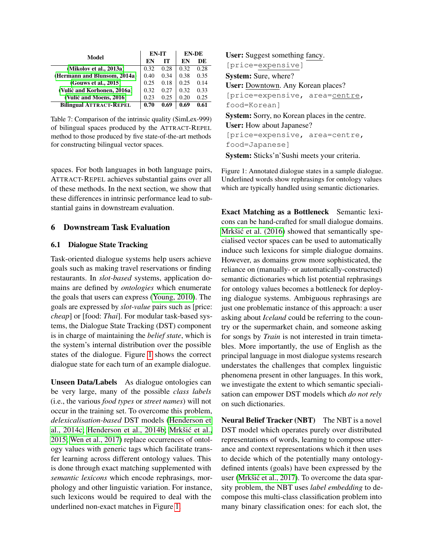|                                |      | EN-IT | <b>EN-DE</b> |      |  |
|--------------------------------|------|-------|--------------|------|--|
| Model                          | EN   | IТ    | EN           | DE   |  |
| (Mikolov et al., 2013a)        | 0.32 | 0.28  | 0.32         | 0.28 |  |
| (Hermann and Blunsom, 2014a)   | 0.40 | 0.34  | 0.38         | 0.35 |  |
| (Gouws et al., 2015)           | 0.25 | 0.18  | 0.25         | 0.14 |  |
| (Vulić and Korhonen, 2016a)    | 0.32 | 0.27  | 0.32         | 0.33 |  |
| (Vulić and Moens, 2016)        | 0.23 | 0.25  | 0.20         | 0.25 |  |
| <b>Bilingual ATTRACT-REPEL</b> | 0.70 | 0.69  | 0.69         | 0.61 |  |

<span id="page-9-0"></span>Table 7: Comparison of the intrinsic quality (SimLex-999) of bilingual spaces produced by the ATTRACT-REPEL method to those produced by five state-of-the-art methods for constructing bilingual vector spaces.

spaces. For both languages in both language pairs, ATTRACT-REPEL achieves substantial gains over all of these methods. In the next section, we show that these differences in intrinsic performance lead to substantial gains in downstream evaluation.

# 6 Downstream Task Evaluation

# 6.1 Dialogue State Tracking

Task-oriented dialogue systems help users achieve goals such as making travel reservations or finding restaurants. In *slot-based* systems, application domains are defined by *ontologies* which enumerate the goals that users can express [\(Young, 2010\)](#page-15-21). The goals are expressed by *slot-value* pairs such as [price: *cheap*] or [food: *Thai*]. For modular task-based systems, the Dialogue State Tracking (DST) component is in charge of maintaining the *belief state*, which is the system's internal distribution over the possible states of the dialogue. Figure [1](#page-9-1) shows the correct dialogue state for each turn of an example dialogue.

Unseen Data/Labels As dialogue ontologies can be very large, many of the possible *class labels* (i.e., the various *food types* or *street names*) will not occur in the training set. To overcome this problem, *delexicalisation-based* DST models [\(Henderson et](#page-13-24) [al., 2014c;](#page-13-24) [Henderson et al., 2014b;](#page-13-25) [Mrkšic et al.,](#page-14-27) ´ [2015;](#page-14-27) [Wen et al., 2017\)](#page-15-22) replace occurrences of ontology values with generic tags which facilitate transfer learning across different ontology values. This is done through exact matching supplemented with *semantic lexicons* which encode rephrasings, morphology and other linguistic variation. For instance, such lexicons would be required to deal with the underlined non-exact matches in Figure [1.](#page-9-1)

User: Suggest something fancy. [price=expensive] System: Sure, where? User: Downtown. Any Korean places? [price=expensive, area=centre, food=Korean] System: Sorry, no Korean places in the centre. User: How about Japanese? [price=expensive, area=centre,

food=Japanese]

<span id="page-9-1"></span>System: Sticks'n'Sushi meets your criteria.

Figure 1: Annotated dialogue states in a sample dialogue. Underlined words show rephrasings for ontology values which are typically handled using semantic dictionaries.

Exact Matching as a Bottleneck Semantic lexicons can be hand-crafted for small dialogue domains. Mrkšić et al. (2016) showed that semantically specialised vector spaces can be used to automatically induce such lexicons for simple dialogue domains. However, as domains grow more sophisticated, the reliance on (manually- or automatically-constructed) semantic dictionaries which list potential rephrasings for ontology values becomes a bottleneck for deploying dialogue systems. Ambiguous rephrasings are just one problematic instance of this approach: a user asking about *Iceland* could be referring to the country or the supermarket chain, and someone asking for songs by *Train* is not interested in train timetables. More importantly, the use of English as the principal language in most dialogue systems research understates the challenges that complex linguistic phenomena present in other languages. In this work, we investigate the extent to which semantic specialisation can empower DST models which *do not rely* on such dictionaries.

Neural Belief Tracker (NBT) The NBT is a novel DST model which operates purely over distributed representations of words, learning to compose utterance and context representations which it then uses to decide which of the potentially many ontologydefined intents (goals) have been expressed by the user (Mrkšić et al., 2017). To overcome the data sparsity problem, the NBT uses *label embedding* to decompose this multi-class classification problem into many binary classification ones: for each slot, the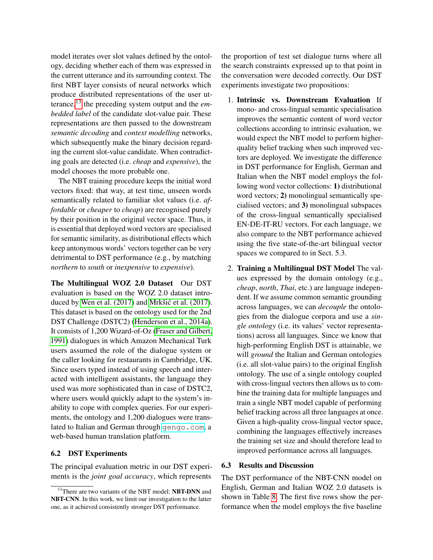model iterates over slot values defined by the ontology, deciding whether each of them was expressed in the current utterance and its surrounding context. The first NBT layer consists of neural networks which produce distributed representations of the user utterance,[13](#page-10-0) the preceding system output and the *embedded label* of the candidate slot-value pair. These representations are then passed to the downstream *semantic decoding* and *context modelling* networks, which subsequently make the binary decision regarding the current slot-value candidate. When contradicting goals are detected (i.e. *cheap* and *expensive*), the model chooses the more probable one.

The NBT training procedure keeps the initial word vectors fixed: that way, at test time, unseen words semantically related to familiar slot values (i.e. *affordable* or *cheaper* to *cheap*) are recognised purely by their position in the original vector space. Thus, it is essential that deployed word vectors are specialised for semantic similarity, as distributional effects which keep antonymous words' vectors together can be very detrimental to DST performance (e.g., by matching *northern* to *south* or *inexpensive* to *expensive*).

The Multilingual WOZ 2.0 Dataset Our DST evaluation is based on the WOZ 2.0 dataset introduced by Wen et al.  $(2017)$  and Mrkšić et al.  $(2017)$ . This dataset is based on the ontology used for the 2nd DST Challenge (DSTC2) [\(Henderson et al., 2014a\)](#page-13-26). It consists of 1,200 Wizard-of-Oz [\(Fraser and Gilbert,](#page-13-27) [1991\)](#page-13-27) dialogues in which Amazon Mechanical Turk users assumed the role of the dialogue system or the caller looking for restaurants in Cambridge, UK. Since users typed instead of using speech and interacted with intelligent assistants, the language they used was more sophisticated than in case of DSTC2, where users would quickly adapt to the system's inability to cope with complex queries. For our experiments, the ontology and 1,200 dialogues were translated to Italian and German through <gengo.com>, a web-based human translation platform.

# 6.2 DST Experiments

The principal evaluation metric in our DST experiments is the *joint goal accuracy*, which represents

the proportion of test set dialogue turns where all the search constraints expressed up to that point in the conversation were decoded correctly. Our DST experiments investigate two propositions:

- 1. Intrinsic vs. Downstream Evaluation If mono- and cross-lingual semantic specialisation improves the semantic content of word vector collections according to intrinsic evaluation, we would expect the NBT model to perform higherquality belief tracking when such improved vectors are deployed. We investigate the difference in DST performance for English, German and Italian when the NBT model employs the following word vector collections: 1) distributional word vectors; 2) monolingual semantically specialised vectors; and 3) monolingual subspaces of the cross-lingual semantically specialised EN-DE-IT-RU vectors. For each language, we also compare to the NBT performance achieved using the five state-of-the-art bilingual vector spaces we compared to in Sect. 5.3.
- 2. Training a Multilingual DST Model The values expressed by the domain ontology (e.g., *cheap*, *north*, *Thai*, etc.) are language independent. If we assume common semantic grounding across languages, we can *decouple* the ontologies from the dialogue corpora and use a *single ontology* (i.e. its values' vector representations) across all languages. Since we know that high-performing English DST is attainable, we will *ground* the Italian and German ontologies (i.e. all slot-value pairs) to the original English ontology. The use of a single ontology coupled with cross-lingual vectors then allows us to combine the training data for multiple languages and train a single NBT model capable of performing belief tracking across all three languages at once. Given a high-quality cross-lingual vector space, combining the languages effectively increases the training set size and should therefore lead to improved performance across all languages.

### 6.3 Results and Discussion

The DST performance of the NBT-CNN model on English, German and Italian WOZ 2.0 datasets is shown in Table [8.](#page-11-0) The first five rows show the performance when the model employs the five baseline

<span id="page-10-0"></span><sup>&</sup>lt;sup>13</sup>There are two variants of the NBT model: **NBT-DNN** and NBT-CNN. In this work, we limit our investigation to the latter one, as it achieved consistently stronger DST performance.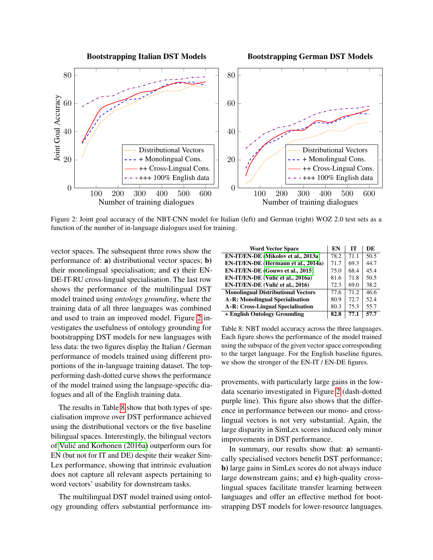Bootstrapping Italian DST Models

Bootstrapping German DST Models



<span id="page-11-1"></span>Figure 2: Joint goal accuracy of the NBT-CNN model for Italian (left) and German (right) WOZ 2.0 test sets as a function of the number of in-language dialogues used for training.

vector spaces. The subsequent three rows show the performance of: a) distributional vector spaces; b) their monolingual specialisation; and c) their EN-DE-IT-RU cross-lingual specialisation. The last row shows the performance of the multilingual DST model trained using *ontology grounding*, where the training data of all three languages was combined and used to train an improved model. Figure [2](#page-11-1) investigates the usefulness of ontology grounding for bootstrapping DST models for new languages with less data: the two figures display the Italian / German performance of models trained using different proportions of the in-language training dataset. The topperforming dash-dotted curve shows the performance of the model trained using the language-specific dialogues and all of the English training data.

The results in Table [8](#page-11-0) show that both types of specialisation improve over DST performance achieved using the distributional vectors or the five baseline bilingual spaces. Interestingly, the bilingual vectors of [Vulic and Korhonen \(2016a\)](#page-15-19) outperform ours for ´ EN (but not for IT and DE) despite their weaker Sim-Lex performance, showing that intrinsic evaluation does not capture all relevant aspects pertaining to word vectors' usability for downstream tasks.

The multilingual DST model trained using ontology grounding offers substantial performance im-

| <b>Word Vector Space</b>                  | EN   | IТ   | DE   |
|-------------------------------------------|------|------|------|
| EN-IT/EN-DE (Mikolov et al., 2013a)       | 78.2 | 71.1 | 50.5 |
| EN-IT/EN-DE (Hermann et al., 2014a)       | 71.7 | 69.3 | 44.7 |
| EN-IT/EN-DE (Gouws et al., 2015)          | 75.0 | 68.4 | 45.4 |
| EN-IT/EN-DE (Vulić et al., 2016a)         | 81.6 | 71.8 | 50.5 |
| EN-IT/EN-DE (Vulić et al., 2016)          | 72.3 | 69.0 | 38.2 |
| <b>Monolingual Distributional Vectors</b> | 77.6 | 71.2 | 46.6 |
| <b>A-R: Monolingual Specialisation</b>    | 80.9 | 72.7 | 52.4 |
| A-R: Cross-Lingual Specialisation         | 80.3 | 75.3 | 55.7 |
| + English Ontology Grounding              | 82.8 | 77.1 | 57.7 |

<span id="page-11-0"></span>Table 8: NBT model accuracy across the three languages. Each figure shows the performance of the model trained using the subspace of the given vector space corresponding to the target language. For the English baseline figures, we show the stronger of the EN-IT / EN-DE figures.

provements, with particularly large gains in the lowdata scenario investigated in Figure [2](#page-11-1) (dash-dotted purple line). This figure also shows that the difference in performance between our mono- and crosslingual vectors is not very substantial. Again, the large disparity in SimLex scores induced only minor improvements in DST performance.

In summary, our results show that: a) semantically specialised vectors benefit DST performance; b) large gains in SimLex scores do not always induce large downstream gains; and c) high-quality crosslingual spaces facilitate transfer learning between languages and offer an effective method for bootstrapping DST models for lower-resource languages.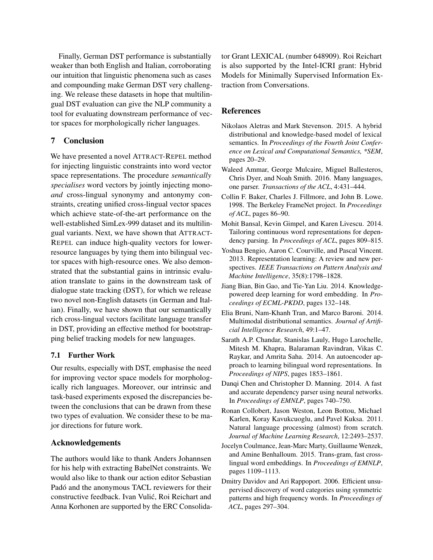Finally, German DST performance is substantially weaker than both English and Italian, corroborating our intuition that linguistic phenomena such as cases and compounding make German DST very challenging. We release these datasets in hope that multilingual DST evaluation can give the NLP community a tool for evaluating downstream performance of vector spaces for morphologically richer languages.

# 7 Conclusion

We have presented a novel ATTRACT-REPEL method for injecting linguistic constraints into word vector space representations. The procedure *semantically specialises* word vectors by jointly injecting mono*and* cross-lingual synonymy and antonymy constraints, creating unified cross-lingual vector spaces which achieve state-of-the-art performance on the well-established SimLex-999 dataset and its multilingual variants. Next, we have shown that ATTRACT-REPEL can induce high-quality vectors for lowerresource languages by tying them into bilingual vector spaces with high-resource ones. We also demonstrated that the substantial gains in intrinsic evaluation translate to gains in the downstream task of dialogue state tracking (DST), for which we release two novel non-English datasets (in German and Italian). Finally, we have shown that our semantically rich cross-lingual vectors facilitate language transfer in DST, providing an effective method for bootstrapping belief tracking models for new languages.

# 7.1 Further Work

Our results, especially with DST, emphasise the need for improving vector space models for morphologically rich languages. Moreover, our intrinsic and task-based experiments exposed the discrepancies between the conclusions that can be drawn from these two types of evaluation. We consider these to be major directions for future work.

# Acknowledgements

The authors would like to thank Anders Johannsen for his help with extracting BabelNet constraints. We would also like to thank our action editor Sebastian Padó and the anonymous TACL reviewers for their constructive feedback. Ivan Vulic, Roi Reichart and ´ Anna Korhonen are supported by the ERC Consolidator Grant LEXICAL (number 648909). Roi Reichart is also supported by the Intel-ICRI grant: Hybrid Models for Minimally Supervised Information Extraction from Conversations.

### References

- <span id="page-12-6"></span>Nikolaos Aletras and Mark Stevenson. 2015. A hybrid distributional and knowledge-based model of lexical semantics. In *Proceedings of the Fourth Joint Conference on Lexical and Computational Semantics, \*SEM*, pages 20–29.
- <span id="page-12-3"></span>Waleed Ammar, George Mulcaire, Miguel Ballesteros, Chris Dyer, and Noah Smith. 2016. Many languages, one parser. *Transactions of the ACL*, 4:431–444.
- <span id="page-12-4"></span>Collin F. Baker, Charles J. Fillmore, and John B. Lowe. 1998. The Berkeley FrameNet project. In *Proceedings of ACL*, pages 86–90.
- <span id="page-12-1"></span>Mohit Bansal, Kevin Gimpel, and Karen Livescu. 2014. Tailoring continuous word representations for dependency parsing. In *Proceedings of ACL*, pages 809–815.
- <span id="page-12-11"></span>Yoshua Bengio, Aaron C. Courville, and Pascal Vincent. 2013. Representation learning: A review and new perspectives. *IEEE Transactions on Pattern Analysis and Machine Intelligence*, 35(8):1798–1828.
- <span id="page-12-5"></span>Jiang Bian, Bin Gao, and Tie-Yan Liu. 2014. Knowledgepowered deep learning for word embedding. In *Proceedings of ECML-PKDD*, pages 132–148.
- <span id="page-12-10"></span>Elia Bruni, Nam-Khanh Tran, and Marco Baroni. 2014. Multimodal distributional semantics. *Journal of Artificial Intelligence Research*, 49:1–47.
- <span id="page-12-9"></span>Sarath A.P. Chandar, Stanislas Lauly, Hugo Larochelle, Mitesh M. Khapra, Balaraman Ravindran, Vikas C. Raykar, and Amrita Saha. 2014. An autoencoder approach to learning bilingual word representations. In *Proceedings of NIPS*, pages 1853–1861.
- <span id="page-12-2"></span>Danqi Chen and Christopher D. Manning. 2014. A fast and accurate dependency parser using neural networks. In *Proceedings of EMNLP*, pages 740–750.
- <span id="page-12-0"></span>Ronan Collobert, Jason Weston, Leon Bottou, Michael Karlen, Koray Kavukcuoglu, and Pavel Kuksa. 2011. Natural language processing (almost) from scratch. *Journal of Machine Learning Research*, 12:2493–2537.
- <span id="page-12-8"></span>Jocelyn Coulmance, Jean-Marc Marty, Guillaume Wenzek, and Amine Benhalloum. 2015. Trans-gram, fast crosslingual word embeddings. In *Proceedings of EMNLP*, pages 1109–1113.
- <span id="page-12-7"></span>Dmitry Davidov and Ari Rappoport. 2006. Efficient unsupervised discovery of word categories using symmetric patterns and high frequency words. In *Proceedings of ACL*, pages 297–304.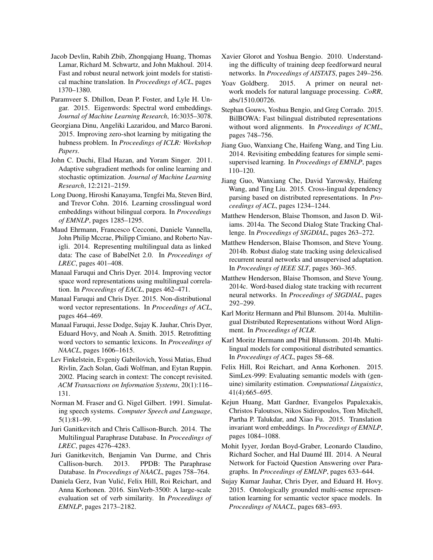- <span id="page-13-5"></span>Jacob Devlin, Rabih Zbib, Zhongqiang Huang, Thomas Lamar, Richard M. Schwartz, and John Makhoul. 2014. Fast and robust neural network joint models for statistical machine translation. In *Proceedings of ACL*, pages 1370–1380.
- <span id="page-13-9"></span>Paramveer S. Dhillon, Dean P. Foster, and Lyle H. Ungar. 2015. Eigenwords: Spectral word embeddings. *Journal of Machine Learning Research*, 16:3035–3078.
- <span id="page-13-21"></span>Georgiana Dinu, Angeliki Lazaridou, and Marco Baroni. 2015. Improving zero-shot learning by mitigating the hubness problem. In *Proceedings of ICLR: Workshop Papers*.
- <span id="page-13-19"></span>John C. Duchi, Elad Hazan, and Yoram Singer. 2011. Adaptive subgradient methods for online learning and stochastic optimization. *Journal of Machine Learning Research*, 12:2121–2159.
- <span id="page-13-17"></span>Long Duong, Hiroshi Kanayama, Tengfei Ma, Steven Bird, and Trevor Cohn. 2016. Learning crosslingual word embeddings without bilingual corpora. In *Proceedings of EMNLP*, pages 1285–1295.
- <span id="page-13-3"></span>Maud Ehrmann, Francesco Cecconi, Daniele Vannella, John Philip Mccrae, Philipp Cimiano, and Roberto Navigli. 2014. Representing multilingual data as linked data: The case of BabelNet 2.0. In *Proceedings of LREC*, pages 401–408.
- <span id="page-13-16"></span>Manaal Faruqui and Chris Dyer. 2014. Improving vector space word representations using multilingual correlation. In *Proceedings of EACL*, pages 462–471.
- <span id="page-13-10"></span>Manaal Faruqui and Chris Dyer. 2015. Non-distributional word vector representations. In *Proceedings of ACL*, pages 464–469.
- <span id="page-13-0"></span>Manaal Faruqui, Jesse Dodge, Sujay K. Jauhar, Chris Dyer, Eduard Hovy, and Noah A. Smith. 2015. Retrofitting word vectors to semantic lexicons. In *Proceedings of NAACL*, pages 1606–1615.
- <span id="page-13-20"></span>Lev Finkelstein, Evgeniy Gabrilovich, Yossi Matias, Ehud Rivlin, Zach Solan, Gadi Wolfman, and Eytan Ruppin. 2002. Placing search in context: The concept revisited. *ACM Transactions on Information Systems*, 20(1):116– 131.
- <span id="page-13-27"></span>Norman M. Fraser and G. Nigel Gilbert. 1991. Simulating speech systems. *Computer Speech and Language*, 5(1):81–99.
- <span id="page-13-8"></span>Juri Ganitkevitch and Chris Callison-Burch. 2014. The Multilingual Paraphrase Database. In *Proceedings of LREC*, pages 4276–4283.
- <span id="page-13-7"></span>Juri Ganitkevitch, Benjamin Van Durme, and Chris Callison-burch. 2013. PPDB: The Paraphrase Database. In *Proceedings of NAACL*, pages 758–764.
- <span id="page-13-2"></span>Daniela Gerz, Ivan Vulic, Felix Hill, Roi Reichart, and ´ Anna Korhonen. 2016. SimVerb-3500: A large-scale evaluation set of verb similarity. In *Proceedings of EMNLP*, pages 2173–2182.
- <span id="page-13-22"></span>Xavier Glorot and Yoshua Bengio. 2010. Understanding the difficulty of training deep feedforward neural networks. In *Proceedings of AISTATS*, pages 249–256.
- <span id="page-13-23"></span>Yoav Goldberg. 2015. A primer on neural network models for natural language processing. *CoRR*, abs/1510.00726.
- <span id="page-13-15"></span>Stephan Gouws, Yoshua Bengio, and Greg Corrado. 2015. BilBOWA: Fast bilingual distributed representations without word alignments. In *Proceedings of ICML*, pages 748–756.
- <span id="page-13-6"></span>Jiang Guo, Wanxiang Che, Haifeng Wang, and Ting Liu. 2014. Revisiting embedding features for simple semisupervised learning. In *Proceedings of EMNLP*, pages 110–120.
- <span id="page-13-18"></span>Jiang Guo, Wanxiang Che, David Yarowsky, Haifeng Wang, and Ting Liu. 2015. Cross-lingual dependency parsing based on distributed representations. In *Proceedings of ACL*, pages 1234–1244.
- <span id="page-13-26"></span>Matthew Henderson, Blaise Thomson, and Jason D. Wiliams. 2014a. The Second Dialog State Tracking Challenge. In *Proceedings of SIGDIAL*, pages 263–272.
- <span id="page-13-25"></span>Matthew Henderson, Blaise Thomson, and Steve Young. 2014b. Robust dialog state tracking using delexicalised recurrent neural networks and unsupervised adaptation. In *Proceedings of IEEE SLT*, pages 360–365.
- <span id="page-13-24"></span>Matthew Henderson, Blaise Thomson, and Steve Young. 2014c. Word-based dialog state tracking with recurrent neural networks. In *Proceedings of SIGDIAL*, pages 292–299.
- <span id="page-13-13"></span>Karl Moritz Hermann and Phil Blunsom. 2014a. Multilingual Distributed Representations without Word Alignment. In *Proceedings of ICLR*.
- <span id="page-13-14"></span>Karl Moritz Hermann and Phil Blunsom. 2014b. Multilingual models for compositional distributed semantics. In *Proceedings of ACL*, pages 58–68.
- <span id="page-13-1"></span>Felix Hill, Roi Reichart, and Anna Korhonen. 2015. SimLex-999: Evaluating semantic models with (genuine) similarity estimation. *Computational Linguistics*, 41(4):665–695.
- <span id="page-13-12"></span>Kejun Huang, Matt Gardner, Evangelos Papalexakis, Christos Faloutsos, Nikos Sidiropoulos, Tom Mitchell, Partha P. Talukdar, and Xiao Fu. 2015. Translation invariant word embeddings. In *Proceedings of EMNLP*, pages 1084–1088.
- <span id="page-13-4"></span>Mohit Iyyer, Jordan Boyd-Graber, Leonardo Claudino, Richard Socher, and Hal Daumé III. 2014. A Neural Network for Factoid Question Answering over Paragraphs. In *Proceedings of EMLNP*, pages 633–644.
- <span id="page-13-11"></span>Sujay Kumar Jauhar, Chris Dyer, and Eduard H. Hovy. 2015. Ontologically grounded multi-sense representation learning for semantic vector space models. In *Proceedings of NAACL*, pages 683–693.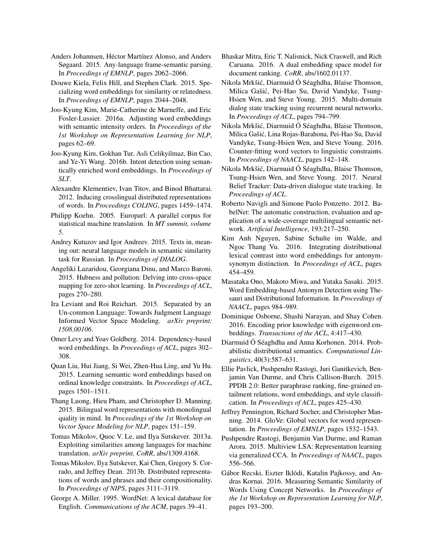- <span id="page-14-7"></span>Anders Johannsen, Héctor Martínez Alonso, and Anders Søgaard. 2015. Any-language frame-semantic parsing. In *Proceedings of EMNLP*, pages 2062–2066.
- <span id="page-14-13"></span>Douwe Kiela, Felix Hill, and Stephen Clark. 2015. Specializing word embeddings for similarity or relatedness. In *Proceedings of EMNLP*, pages 2044–2048.
- <span id="page-14-10"></span>Joo-Kyung Kim, Marie-Catherine de Marneffe, and Eric Fosler-Lussier. 2016a. Adjusting word embeddings with semantic intensity orders. In *Proceedings of the 1st Workshop on Representation Learning for NLP*, pages 62–69.
- <span id="page-14-9"></span>Joo-Kyung Kim, Gokhan Tur, Asli Celikyilmaz, Bin Cao, and Ye-Yi Wang. 2016b. Intent detection using semantically enriched word embeddings. In *Proceedings of SLT*.
- <span id="page-14-19"></span>Alexandre Klementiev, Ivan Titov, and Binod Bhattarai. 2012. Inducing crosslingual distributed representations of words. In *Proceedings COLING*, pages 1459–1474.
- <span id="page-14-26"></span>Philipp Koehn. 2005. Europarl: A parallel corpus for statistical machine translation. In *MT summit, volume 5*.
- <span id="page-14-25"></span>Andrey Kutuzov and Igor Andreev. 2015. Texts in, meaning out: neural language models in semantic similarity task for Russian. In *Proceedings of DIALOG*.
- <span id="page-14-22"></span>Angeliki Lazaridou, Georgiana Dinu, and Marco Baroni. 2015. Hubness and pollution: Delving into cross-space mapping for zero-shot learning. In *Proceedings of ACL*, pages 270–280.
- <span id="page-14-6"></span>Ira Leviant and Roi Reichart. 2015. Separated by an Un-common Language: Towards Judgment Language Informed Vector Space Modeling. *arXiv preprint: 1508.00106*.
- <span id="page-14-3"></span>Omer Levy and Yoav Goldberg. 2014. Dependency-based word embeddings. In *Proceedings of ACL*, pages 302– 308.
- <span id="page-14-14"></span>Quan Liu, Hui Jiang, Si Wei, Zhen-Hua Ling, and Yu Hu. 2015. Learning semantic word embeddings based on ordinal knowledge constraints. In *Proceedings of ACL*, pages 1501–1511.
- <span id="page-14-20"></span>Thang Luong, Hieu Pham, and Christopher D. Manning. 2015. Bilingual word representations with monolingual quality in mind. In *Proceedings of the 1st Workshop on Vector Space Modeling for NLP*, pages 151–159.
- <span id="page-14-21"></span>Tomas Mikolov, Quoc V. Le, and Ilya Sutskever. 2013a. Exploiting similarities among languages for machine translation. *arXiv preprint, CoRR*, abs/1309.4168.
- <span id="page-14-0"></span>Tomas Mikolov, Ilya Sutskever, Kai Chen, Gregory S. Corrado, and Jeffrey Dean. 2013b. Distributed representations of words and phrases and their compositionality. In *Proceedings of NIPS*, pages 3111–3119.
- <span id="page-14-11"></span>George A. Miller. 1995. WordNet: A lexical database for English. *Communications of the ACM*, pages 39–41.
- <span id="page-14-24"></span>Bhaskar Mitra, Eric T. Nalisnick, Nick Craswell, and Rich Caruana. 2016. A dual embedding space model for document ranking. *CoRR*, abs/1602.01137.
- <span id="page-14-27"></span>Nikola Mrkšic, Diarmuid Ó Séaghdha, Blaise Thomson, ´ Milica Gašic, Pei-Hao Su, David Vandyke, Tsung- ´ Hsien Wen, and Steve Young. 2015. Multi-domain dialog state tracking using recurrent neural networks. In *Proceedings of ACL*, pages 794–799.
- <span id="page-14-4"></span>Nikola Mrkšic, Diarmuid Ó Séaghdha, Blaise Thomson, ´ Milica Gašic, Lina Rojas-Barahona, Pei-Hao Su, David ´ Vandyke, Tsung-Hsien Wen, and Steve Young. 2016. Counter-fitting word vectors to linguistic constraints. In *Proceedings of NAACL*, pages 142–148.
- <span id="page-14-8"></span>Nikola Mrkšic, Diarmuid Ó Séaghdha, Blaise Thomson, ´ Tsung-Hsien Wen, and Steve Young. 2017. Neural Belief Tracker: Data-driven dialogue state tracking. In *Proceedings of ACL*.
- <span id="page-14-5"></span>Roberto Navigli and Simone Paolo Ponzetto. 2012. BabelNet: The automatic construction, evaluation and application of a wide-coverage multilingual semantic network. *Artificial Intelligence*, 193:217–250.
- <span id="page-14-17"></span>Kim Anh Nguyen, Sabine Schulte im Walde, and Ngoc Thang Vu. 2016. Integrating distributional lexical contrast into word embeddings for antonymsynonym distinction. In *Proceedings of ACL*, pages 454–459.
- <span id="page-14-16"></span>Masataka Ono, Makoto Miwa, and Yutaka Sasaki. 2015. Word Embedding-based Antonym Detection using Thesauri and Distributional Information. In *Proceedings of NAACL*, pages 984–989.
- <span id="page-14-15"></span>Dominique Osborne, Shashi Narayan, and Shay Cohen. 2016. Encoding prior knowledge with eigenword embeddings. *Transactions of the ACL*, 4:417–430.
- <span id="page-14-2"></span>Diarmuid Ó Séaghdha and Anna Korhonen. 2014. Probabilistic distributional semantics. *Computational Linguistics*, 40(3):587–631.
- <span id="page-14-12"></span>Ellie Pavlick, Pushpendre Rastogi, Juri Ganitkevich, Benjamin Van Durme, and Chris Callison-Burch. 2015. PPDB 2.0: Better paraphrase ranking, fine-grained entailment relations, word embeddings, and style classification. In *Proceedings of ACL*, pages 425–430.
- <span id="page-14-1"></span>Jeffrey Pennington, Richard Socher, and Christopher Manning. 2014. GloVe: Global vectors for word representation. In *Proceedings of EMNLP*, pages 1532–1543.
- <span id="page-14-23"></span>Pushpendre Rastogi, Benjamin Van Durme, and Raman Arora. 2015. Multiview LSA: Representation learning via generalized CCA. In *Proceedings of NAACL*, pages 556–566.
- <span id="page-14-18"></span>Gábor Recski, Eszter Iklódi, Katalin Pajkossy, and Andras Kornai. 2016. Measuring Semantic Similarity of Words Using Concept Networks. In *Proceedings of the 1st Workshop on Representation Learning for NLP*, pages 193–200.